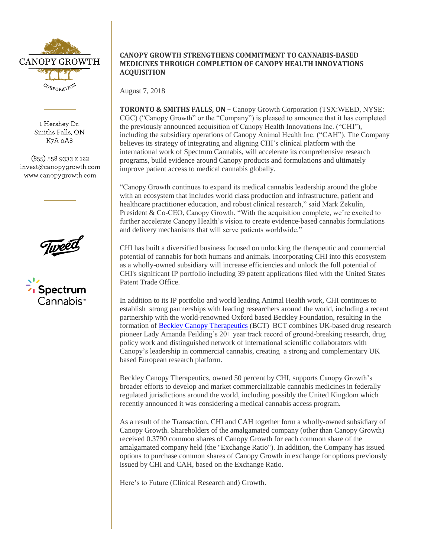

1 Hershey Dr. Smiths Falls, ON K7A 0A8

(855) 558 9333 x 122 invest@canopygrowth.com www.canopygrowth.com





## **CANOPY GROWTH STRENGTHENS COMMITMENT TO CANNABIS-BASED MEDICINES THROUGH COMPLETION OF CANOPY HEALTH INNOVATIONS ACQUISITION**

August 7, 2018

**TORONTO & SMITHS FALLS, ON –** Canopy Growth Corporation (TSX:WEED, NYSE: CGC) ("Canopy Growth" or the "Company") is pleased to announce that it has completed the previously announced acquisition of Canopy Health Innovations Inc. ("CHI"), including the subsidiary operations of Canopy Animal Health Inc. ("CAH"). The Company believes its strategy of integrating and aligning CHI's clinical platform with the international work of Spectrum Cannabis, will accelerate its comprehensive research programs, build evidence around Canopy products and formulations and ultimately improve patient access to medical cannabis globally.

"Canopy Growth continues to expand its medical cannabis leadership around the globe with an ecosystem that includes world class production and infrastructure, patient and healthcare practitioner education, and robust clinical research," said Mark Zekulin, President & Co-CEO, Canopy Growth. "With the acquisition complete, we're excited to further accelerate Canopy Health's vision to create evidence-based cannabis formulations and delivery mechanisms that will serve patients worldwide."

CHI has built a diversified business focused on unlocking the therapeutic and commercial potential of cannabis for both humans and animals. Incorporating CHI into this ecosystem as a wholly-owned subsidiary will increase efficiencies and unlock the full potential of CHI's significant IP portfolio including 39 patent applications filed with the United States Patent Trade Office.

In addition to its IP portfolio and world leading Animal Health work, CHI continues to establish strong partnerships with leading researchers around the world, including a recent partnership with the world-renowned Oxford based Beckley Foundation, resulting in the formation o[f Beckley Canopy Therapeutics](https://www.newswire.ca/news-releases/global-cannabis-research-leaders-beckley-foundation-and-canopy-health-innovations-partner-to-form-beckley-canopy-therapeutics-679115793.html) (BCT) BCT combines UK-based drug research pioneer Lady Amanda Feilding's 20+ year track record of ground-breaking research, drug policy work and distinguished network of international scientific collaborators with Canopy's leadership in commercial cannabis, creating a strong and complementary UK based European research platform.

Beckley Canopy Therapeutics, owned 50 percent by CHI, supports Canopy Growth's broader efforts to develop and market commercializable cannabis medicines in federally regulated jurisdictions around the world, including possibly the United Kingdom which recently announced it was considering a medical cannabis access program.

As a result of the Transaction, CHI and CAH together form a wholly-owned subsidiary of Canopy Growth. Shareholders of the amalgamated company (other than Canopy Growth) received 0.3790 common shares of Canopy Growth for each common share of the amalgamated company held (the "Exchange Ratio"). In addition, the Company has issued options to purchase common shares of Canopy Growth in exchange for options previously issued by CHI and CAH, based on the Exchange Ratio.

Here's to Future (Clinical Research and) Growth.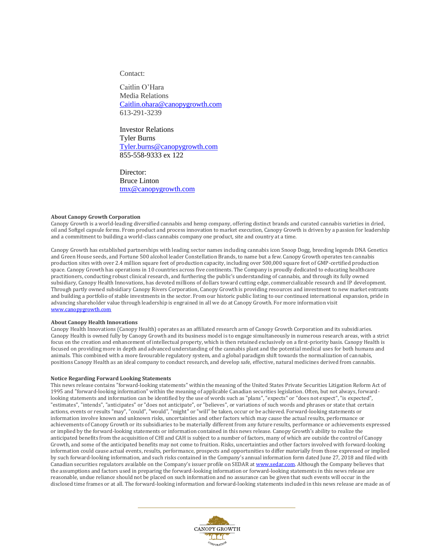Contact:

Caitlin O'Hara Media Relations [Caitlin.ohara@canopygrowth.com](mailto:Caitlin.ohara@canopygrowth.com) 613-291-3239

Investor Relations Tyler Burns [Tyler.burns@canopygrowth.com](mailto:Tyler.burns@canopygrowth.com) 855-558-9333 ex 122

Director: Bruce Linton [tmx@canopygrowth.com](mailto:tmx@canopygrowth.com)

## **About Canopy Growth Corporation**

Canopy Growth is a world-leading diversified cannabis and hemp company, offering distinct brands and curated cannabis varieties in dried, oil and Softgel capsule forms. From product and process innovation to market execution, Canopy Growth is driven by a passion for leadership and a commitment to building a world-class cannabis company one product, site and country at a time.

Canopy Growth has established partnerships with leading sector names including cannabis icon Snoop Dogg, breeding legends DNA Genetics and Green House seeds, and Fortune 500 alcohol leader Constellation Brands, to name but a few. Canopy Growth operates ten cannabis production sites with over 2.4 million square feet of production capacity, including over 500,000 square feet of GMP-certified production space. Canopy Growth has operations in 10 countries across five continents. The Company is proudly dedicated to educating healthcare practitioners, conducting robust clinical research, and furthering the public's understanding of cannabis, and through its fully owned subsidiary, Canopy Health Innovations, has devoted millions of dollars toward cutting edge, commercializable research and IP development. Through partly owned subsidiary Canopy Rivers Corporation, Canopy Growth is providing resources and investment to new market entrants and building a portfolio of stable investments in the sector. From our historic public listing to our continued international expansion, pride in advancing shareholder value through leadership is engrained in all we do at Canopy Growth. For more information visit [www.canopygrowth.com](http://www.canopygrowth.com/)

## **About Canopy Health Innovations**

Canopy Health Innovations (Canopy Health) operates as an affiliated research arm of Canopy Growth Corporation and its subsidiaries. Canopy Health is owned fully by Canopy Growth and its business model is to engage simultaneously in numerous research areas, with a strict focus on the creation and enhancement of intellectual property, which is then retained exclusively on a first-priority basis. Canopy Health is focused on providing more in depth and advanced understanding of the cannabis plant and the potential medical uses for both humans and animals. This combined with a more favourable regulatory system, and a global paradigm shift towards the normalization of cannabis, positions Canopy Health as an ideal company to conduct research, and develop safe, effective, natural medicines derived from cannabis.

## **Notice Regarding Forward Looking Statements**

This news release contains "forward-looking statements" within the meaning of the United States Private Securities Litigation Reform Act of 1995 and "forward-looking information" within the meaning of applicable Canadian securities legislation. Often, but not always, forwardlooking statements and information can be identified by the use of words such as "plans", "expects" or "does not expect", "is expected", "estimates", "intends", "anticipates" or "does not anticipate", or "believes", or variations of such words and phrases or state that certain actions, events or results "may", "could", "would", "might" or "will" be taken, occur or be achieved. Forward-looking statements or information involve known and unknown risks, uncertainties and other factors which may cause the actual results, performance or achievements of Canopy Growth or its subsidiaries to be materially different from any future results, performance or achievements expressed or implied by the forward-looking statements or information contained in this news release. Canopy Growth's ability to realize the anticipated benefits from the acquisition of CHI and CAH is subject to a number of factors, many of which are outside the control of Canopy Growth, and some of the anticipated benefits may not come to fruition. Risks, uncertainties and other factors involved with forward-looking information could cause actual events, results, performance, prospects and opportunities to differ materially from those expressed or implied by such forward-looking information, and such risks contained in the Company's annual information form dated June 27, 2018 and filed with Canadian securities regulators available on the Company's issuer profile on SEDAR a[t www.sedar.com.](http://www.sedar.com/) Although the Company believes that the assumptions and factors used in preparing the forward-looking information or forward-looking statements in this news release are reasonable, undue reliance should not be placed on such information and no assurance can be given that such events will occur in the disclosed time frames or at all. The forward-looking information and forward-looking statements included in this news release are made as of